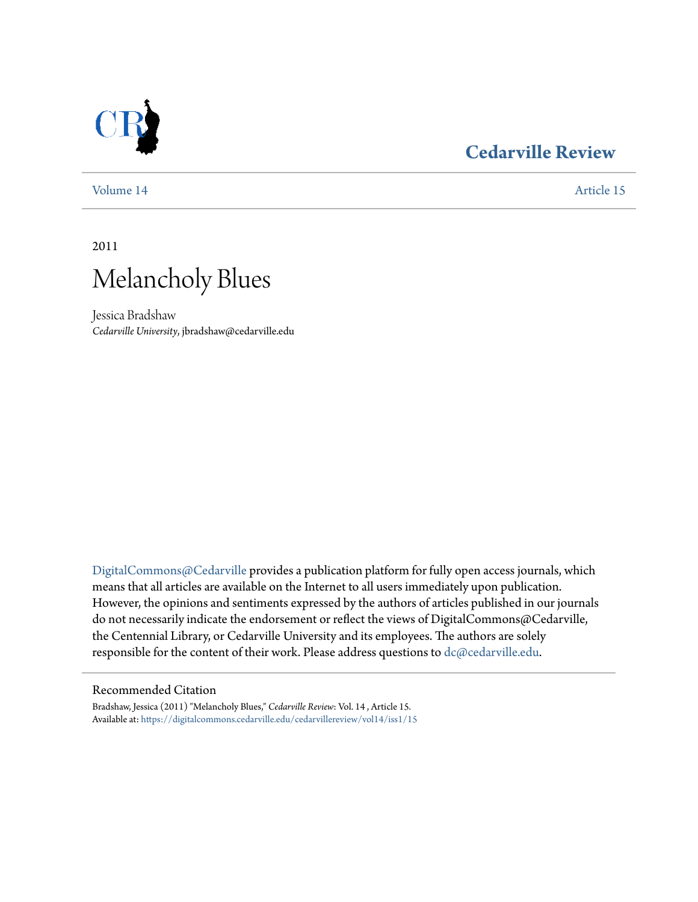### [Volume 14](https://digitalcommons.cedarville.edu/cedarvillereview/vol14?utm_source=digitalcommons.cedarville.edu%2Fcedarvillereview%2Fvol14%2Fiss1%2F15&utm_medium=PDF&utm_campaign=PDFCoverPages) [Article 15](https://digitalcommons.cedarville.edu/cedarvillereview/vol14/iss1/15?utm_source=digitalcommons.cedarville.edu%2Fcedarvillereview%2Fvol14%2Fiss1%2F15&utm_medium=PDF&utm_campaign=PDFCoverPages)

## **[Cedarville Review](https://digitalcommons.cedarville.edu/cedarvillereview?utm_source=digitalcommons.cedarville.edu%2Fcedarvillereview%2Fvol14%2Fiss1%2F15&utm_medium=PDF&utm_campaign=PDFCoverPages)**

2011



Jessica Bradshaw *Cedarville University*, jbradshaw@cedarville.edu

[DigitalCommons@Cedarville](http://digitalcommons.cedarville.edu) provides a publication platform for fully open access journals, which means that all articles are available on the Internet to all users immediately upon publication. However, the opinions and sentiments expressed by the authors of articles published in our journals do not necessarily indicate the endorsement or reflect the views of DigitalCommons@Cedarville, the Centennial Library, or Cedarville University and its employees. The authors are solely responsible for the content of their work. Please address questions to [dc@cedarville.edu](mailto:dc@cedarville.edu).

#### Recommended Citation

Bradshaw, Jessica (2011) "Melancholy Blues," *Cedarville Review*: Vol. 14 , Article 15. Available at: [https://digitalcommons.cedarville.edu/cedarvillereview/vol14/iss1/15](https://digitalcommons.cedarville.edu/cedarvillereview/vol14/iss1/15?utm_source=digitalcommons.cedarville.edu%2Fcedarvillereview%2Fvol14%2Fiss1%2F15&utm_medium=PDF&utm_campaign=PDFCoverPages)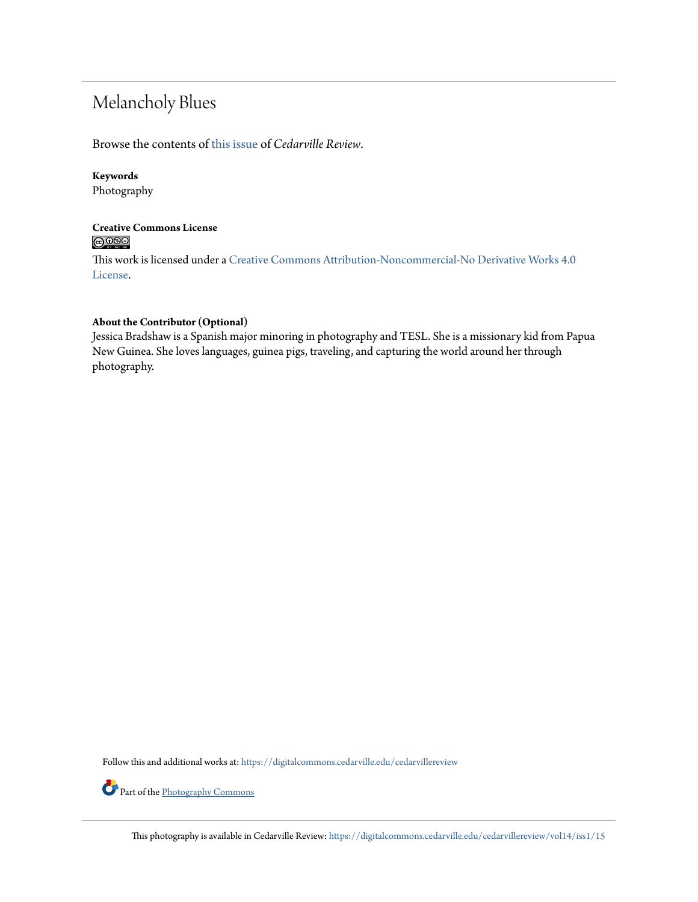# Melancholy Blues

Browse the contents of [this issue](https://digitalcommons.cedarville.edu/cedarvillereview/vol14/iss1) of *Cedarville Review*.

### **Keywords**

Photography

### **Creative Commons License**  $\bigcirc$   $\circ$

This work is licensed under a [Creative Commons Attribution-Noncommercial-No Derivative Works 4.0](http://creativecommons.org/licenses/by-nc-nd/4.0/) [License.](http://creativecommons.org/licenses/by-nc-nd/4.0/)

### **About the Contributor (Optional)**

Jessica Bradshaw is a Spanish major minoring in photography and TESL. She is a missionary kid from Papua New Guinea. She loves languages, guinea pigs, traveling, and capturing the world around her through photography.

Follow this and additional works at: [https://digitalcommons.cedarville.edu/cedarvillereview](https://digitalcommons.cedarville.edu/cedarvillereview?utm_source=digitalcommons.cedarville.edu%2Fcedarvillereview%2Fvol14%2Fiss1%2F15&utm_medium=PDF&utm_campaign=PDFCoverPages)



This photography is available in Cedarville Review: [https://digitalcommons.cedarville.edu/cedarvillereview/vol14/iss1/15](https://digitalcommons.cedarville.edu/cedarvillereview/vol14/iss1/15?utm_source=digitalcommons.cedarville.edu%2Fcedarvillereview%2Fvol14%2Fiss1%2F15&utm_medium=PDF&utm_campaign=PDFCoverPages)